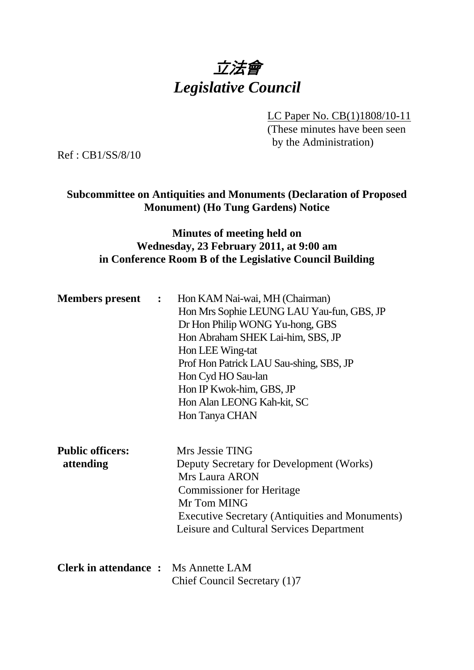# 立法會 *Legislative Council*

LC Paper No. CB(1)1808/10-11

(These minutes have been seen by the Administration)

Ref : CB1/SS/8/10

#### **Subcommittee on Antiquities and Monuments (Declaration of Proposed Monument) (Ho Tung Gardens) Notice**

### **Minutes of meeting held on Wednesday, 23 February 2011, at 9:00 am in Conference Room B of the Legislative Council Building**

| <b>Members present :</b>                    | Hon KAM Nai-wai, MH (Chairman)                  |
|---------------------------------------------|-------------------------------------------------|
|                                             | Hon Mrs Sophie LEUNG LAU Yau-fun, GBS, JP       |
|                                             | Dr Hon Philip WONG Yu-hong, GBS                 |
|                                             | Hon Abraham SHEK Lai-him, SBS, JP               |
|                                             | Hon LEE Wing-tat                                |
|                                             | Prof Hon Patrick LAU Sau-shing, SBS, JP         |
|                                             | Hon Cyd HO Sau-lan                              |
|                                             | Hon IP Kwok-him, GBS, JP                        |
|                                             | Hon Alan LEONG Kah-kit, SC                      |
|                                             | Hon Tanya CHAN                                  |
|                                             |                                                 |
| <b>Public officers:</b>                     | Mrs Jessie TING                                 |
| attending                                   | Deputy Secretary for Development (Works)        |
|                                             | <b>Mrs Laura ARON</b>                           |
|                                             | <b>Commissioner for Heritage</b>                |
|                                             | Mr Tom MING                                     |
|                                             | Executive Secretary (Antiquities and Monuments) |
|                                             | Leisure and Cultural Services Department        |
|                                             |                                                 |
|                                             |                                                 |
| <b>Clerk in attendance :</b> Ms Annette LAM |                                                 |
|                                             | Chief Council Secretary (1)7                    |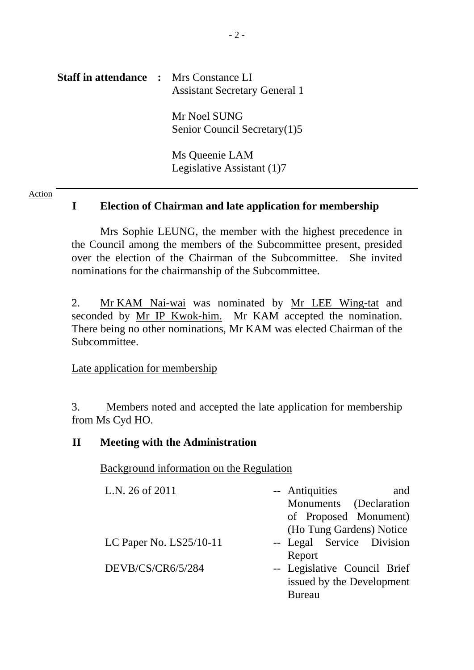# **Staff in attendance :** Mrs Constance LI Assistant Secretary General 1 Mr Noel SUNG Senior Council Secretary(1)5 Ms Queenie LAM Legislative Assistant (1)7

#### Action

# **I Election of Chairman and late application for membership**

 Mrs Sophie LEUNG, the member with the highest precedence in the Council among the members of the Subcommittee present, presided over the election of the Chairman of the Subcommittee. She invited nominations for the chairmanship of the Subcommittee.

2. Mr KAM Nai-wai was nominated by Mr LEE Wing-tat and seconded by Mr IP Kwok-him. Mr KAM accepted the nomination. There being no other nominations, Mr KAM was elected Chairman of the Subcommittee.

#### Late application for membership

3. Members noted and accepted the late application for membership from Ms Cyd HO.

#### **II Meeting with the Administration**

Background information on the Regulation

| L.N. 26 of 2011           | -- Antiquities<br>and        |
|---------------------------|------------------------------|
|                           | Monuments (Declaration       |
|                           | of Proposed Monument)        |
|                           | (Ho Tung Gardens) Notice     |
| LC Paper No. $LS25/10-11$ | -- Legal Service Division    |
|                           | Report                       |
| DEVB/CS/CR6/5/284         | -- Legislative Council Brief |
|                           | issued by the Development    |
|                           | <b>Bureau</b>                |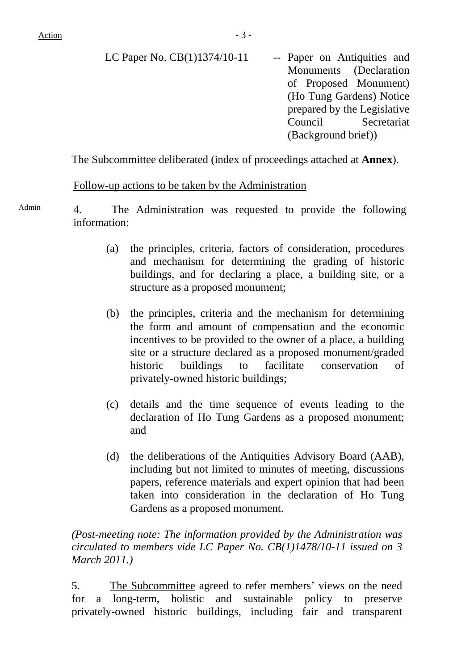$Action$   $-3$  -

| LC Paper No. CB(1)1374/10-11 | -- Paper on Antiquities and |
|------------------------------|-----------------------------|
|                              | Monuments (Declaration      |
|                              | of Proposed Monument)       |
|                              | (Ho Tung Gardens) Notice    |
|                              | prepared by the Legislative |
|                              | Council Secretariat         |
|                              | (Background brief))         |
|                              |                             |

The Subcommittee deliberated (index of proceedings attached at **Annex**).

#### Follow-up actions to be taken by the Administration

Admin 4. The Administration was requested to provide the following information:

- (a) the principles, criteria, factors of consideration, procedures and mechanism for determining the grading of historic buildings, and for declaring a place, a building site, or a structure as a proposed monument;
- (b) the principles, criteria and the mechanism for determining the form and amount of compensation and the economic incentives to be provided to the owner of a place, a building site or a structure declared as a proposed monument/graded historic buildings to facilitate conservation of privately-owned historic buildings;
- (c) details and the time sequence of events leading to the declaration of Ho Tung Gardens as a proposed monument; and
- (d) the deliberations of the Antiquities Advisory Board (AAB), including but not limited to minutes of meeting, discussions papers, reference materials and expert opinion that had been taken into consideration in the declaration of Ho Tung Gardens as a proposed monument.

*(Post-meeting note: The information provided by the Administration was circulated to members vide LC Paper No. CB(1)1478/10-11 issued on 3 March 2011.)* 

5. The Subcommittee agreed to refer members' views on the need for a long-term, holistic and sustainable policy to preserve privately-owned historic buildings, including fair and transparent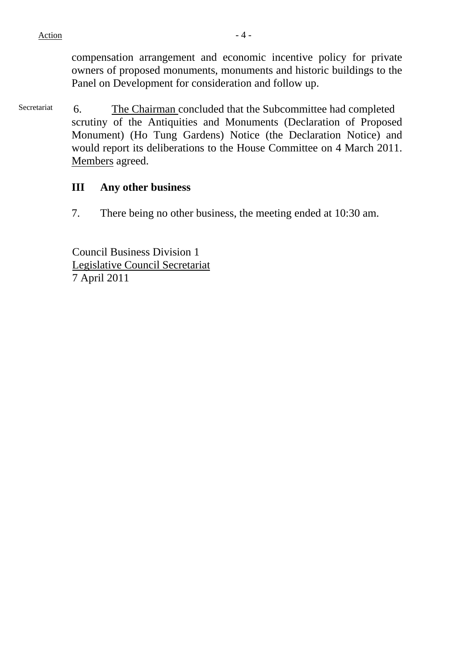$Action$   $-4$  -

compensation arrangement and economic incentive policy for private owners of proposed monuments, monuments and historic buildings to the Panel on Development for consideration and follow up.

Secretariat 6. The Chairman concluded that the Subcommittee had completed scrutiny of the Antiquities and Monuments (Declaration of Proposed Monument) (Ho Tung Gardens) Notice (the Declaration Notice) and would report its deliberations to the House Committee on 4 March 2011. Members agreed.

#### **III Any other business**

7. There being no other business, the meeting ended at 10:30 am.

Council Business Division 1 Legislative Council Secretariat 7 April 2011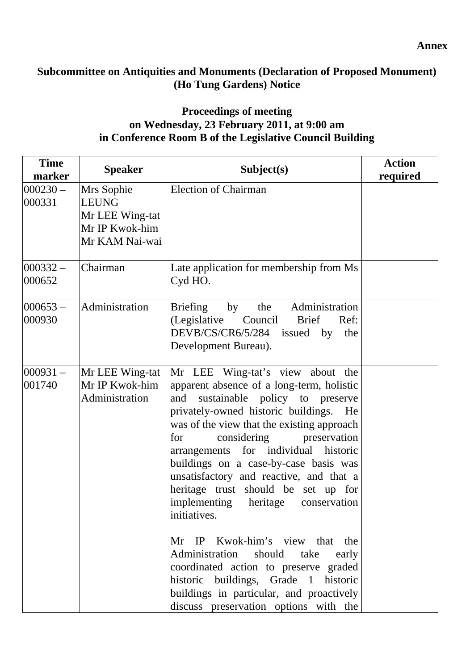# **Subcommittee on Antiquities and Monuments (Declaration of Proposed Monument) (Ho Tung Gardens) Notice**

# **Proceedings of meeting on Wednesday, 23 February 2011, at 9:00 am in Conference Room B of the Legislative Council Building**

| <b>Time</b><br>marker | <b>Speaker</b>                                                                    | Subject(s)                                                                                                                                                                                                                                                                                                                                                                                                                                                                                                                                                                                                                                                                                                                            | <b>Action</b><br>required |
|-----------------------|-----------------------------------------------------------------------------------|---------------------------------------------------------------------------------------------------------------------------------------------------------------------------------------------------------------------------------------------------------------------------------------------------------------------------------------------------------------------------------------------------------------------------------------------------------------------------------------------------------------------------------------------------------------------------------------------------------------------------------------------------------------------------------------------------------------------------------------|---------------------------|
| $000230 -$<br>000331  | Mrs Sophie<br><b>LEUNG</b><br>Mr LEE Wing-tat<br>Mr IP Kwok-him<br>Mr KAM Nai-wai | <b>Election of Chairman</b>                                                                                                                                                                                                                                                                                                                                                                                                                                                                                                                                                                                                                                                                                                           |                           |
| $000332 -$<br>000652  | Chairman                                                                          | Late application for membership from Ms<br>Cyd HO.                                                                                                                                                                                                                                                                                                                                                                                                                                                                                                                                                                                                                                                                                    |                           |
| $000653 -$<br>000930  | Administration                                                                    | Administration<br><b>Briefing</b><br>the<br>by<br>(Legislative Council Brief<br>Ref:<br>DEVB/CS/CR6/5/284 issued<br>by<br>the<br>Development Bureau).                                                                                                                                                                                                                                                                                                                                                                                                                                                                                                                                                                                 |                           |
| $000931 -$<br>001740  | Mr LEE Wing-tat<br>Mr IP Kwok-him<br>Administration                               | Mr LEE Wing-tat's view about the<br>apparent absence of a long-term, holistic<br>sustainable policy to preserve<br>and<br>privately-owned historic buildings. He<br>was of the view that the existing approach<br>considering<br>preservation<br>for<br>arrangements for individual historic<br>buildings on a case-by-case basis was<br>unsatisfactory and reactive, and that a<br>heritage trust should be set up for<br>implementing heritage<br>conservation<br>initiatives.<br>Mr IP Kwok-him's view that the<br>should<br>Administration<br>take<br>early<br>coordinated action to preserve graded<br>historic buildings, Grade 1 historic<br>buildings in particular, and proactively<br>discuss preservation options with the |                           |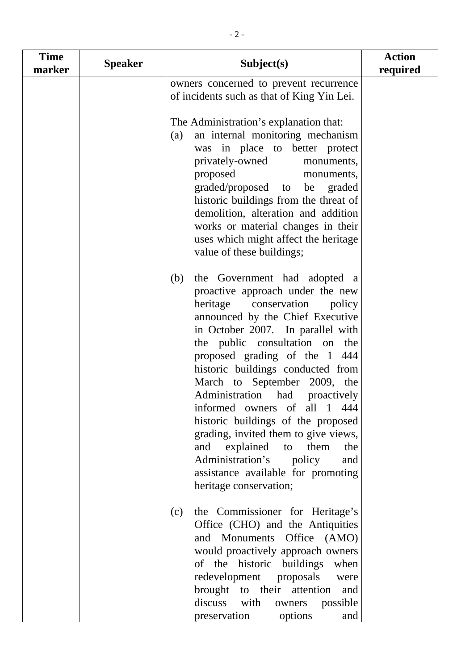| <b>Time</b><br>marker | <b>Speaker</b> | Subject(s)                                                                                                                                                                                                                                                                                                                                                                                                                                                                                                                                                                                                                | <b>Action</b><br>required |
|-----------------------|----------------|---------------------------------------------------------------------------------------------------------------------------------------------------------------------------------------------------------------------------------------------------------------------------------------------------------------------------------------------------------------------------------------------------------------------------------------------------------------------------------------------------------------------------------------------------------------------------------------------------------------------------|---------------------------|
|                       |                | owners concerned to prevent recurrence<br>of incidents such as that of King Yin Lei.                                                                                                                                                                                                                                                                                                                                                                                                                                                                                                                                      |                           |
|                       |                | The Administration's explanation that:<br>an internal monitoring mechanism<br>(a)<br>was in place to better protect<br>privately-owned<br>monuments,<br>proposed<br>monuments,<br>graded/proposed to be graded<br>historic buildings from the threat of<br>demolition, alteration and addition<br>works or material changes in their<br>uses which might affect the heritage<br>value of these buildings;                                                                                                                                                                                                                 |                           |
|                       |                | the Government had adopted a<br>(b)<br>proactive approach under the new<br>heritage conservation<br>policy<br>announced by the Chief Executive<br>in October 2007. In parallel with<br>the public consultation on the<br>proposed grading of the 1 444<br>historic buildings conducted from<br>March to September 2009, the<br>Administration had proactively<br>informed owners of all 1 444<br>historic buildings of the proposed<br>grading, invited them to give views,<br>explained<br>them<br>and<br>to<br>the<br>Administration's<br>policy<br>and<br>assistance available for promoting<br>heritage conservation; |                           |
|                       |                | the Commissioner for Heritage's<br>(c)<br>Office (CHO) and the Antiquities<br>and Monuments Office (AMO)<br>would proactively approach owners<br>of the historic buildings<br>when<br>redevelopment<br>proposals<br>were<br>brought to their<br>attention<br>and<br>discuss<br>with<br>possible<br>owners<br>preservation<br>options<br>and                                                                                                                                                                                                                                                                               |                           |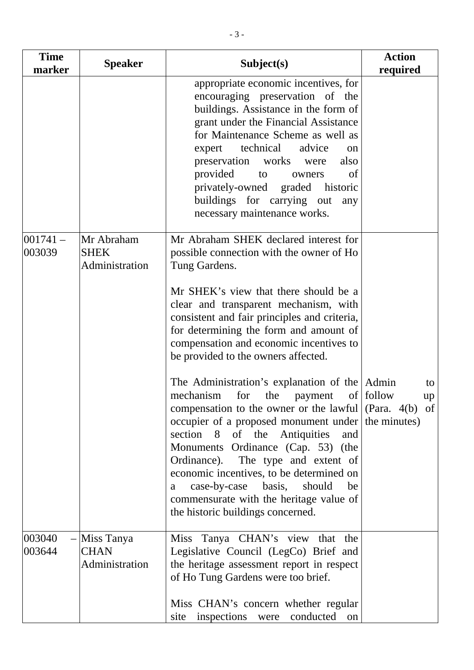| <b>Time</b><br>marker | <b>Speaker</b>                              | Subject(s)                                                                                                                                                                                                                                                                                                                                                                                                                                                                                                                                                                                                                                                                                                                                                                                                                                                                  | <b>Action</b><br>required |
|-----------------------|---------------------------------------------|-----------------------------------------------------------------------------------------------------------------------------------------------------------------------------------------------------------------------------------------------------------------------------------------------------------------------------------------------------------------------------------------------------------------------------------------------------------------------------------------------------------------------------------------------------------------------------------------------------------------------------------------------------------------------------------------------------------------------------------------------------------------------------------------------------------------------------------------------------------------------------|---------------------------|
|                       |                                             | appropriate economic incentives, for<br>encouraging preservation of the<br>buildings. Assistance in the form of<br>grant under the Financial Assistance<br>for Maintenance Scheme as well as<br>expert technical<br>advice<br>on<br>preservation works<br>also<br>were<br>provided<br>to<br>of<br>owners<br>privately-owned graded historic<br>buildings for carrying out<br>any<br>necessary maintenance works.                                                                                                                                                                                                                                                                                                                                                                                                                                                            |                           |
| $001741 -$<br>003039  | Mr Abraham<br><b>SHEK</b><br>Administration | Mr Abraham SHEK declared interest for<br>possible connection with the owner of Ho<br>Tung Gardens.<br>Mr SHEK's view that there should be a<br>clear and transparent mechanism, with<br>consistent and fair principles and criteria,<br>for determining the form and amount of<br>compensation and economic incentives to<br>be provided to the owners affected.<br>The Administration's explanation of the Admin<br>payment of follow<br>mechanism<br>for<br>the<br>compensation to the owner or the lawful $(Para. 4(b)$ of<br>occupier of a proposed monument under the minutes)<br>section 8 of the Antiquities<br>and<br>Monuments Ordinance (Cap. 53) (the<br>Ordinance). The type and extent of<br>economic incentives, to be determined on<br>case-by-case basis, should<br>be<br>a<br>commensurate with the heritage value of<br>the historic buildings concerned. | to<br>up                  |
| 003040<br>003644      | Miss Tanya<br><b>CHAN</b><br>Administration | Miss Tanya CHAN's view that the<br>Legislative Council (LegCo) Brief and<br>the heritage assessment report in respect<br>of Ho Tung Gardens were too brief.<br>Miss CHAN's concern whether regular<br>inspections were conducted on<br>site                                                                                                                                                                                                                                                                                                                                                                                                                                                                                                                                                                                                                                 |                           |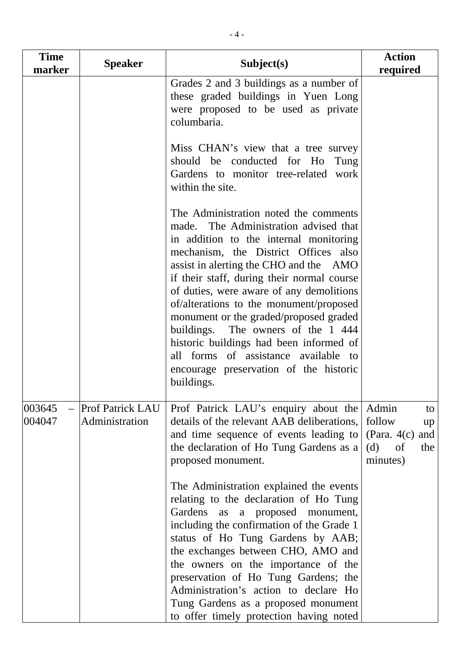| <b>Time</b><br>marker                 | <b>Speaker</b>                            | Subject(s)                                                                                                                                                                                                                                                                                                                                                                                                                                                                                                                                                                 | <b>Action</b><br>required                                                           |
|---------------------------------------|-------------------------------------------|----------------------------------------------------------------------------------------------------------------------------------------------------------------------------------------------------------------------------------------------------------------------------------------------------------------------------------------------------------------------------------------------------------------------------------------------------------------------------------------------------------------------------------------------------------------------------|-------------------------------------------------------------------------------------|
|                                       |                                           | Grades 2 and 3 buildings as a number of<br>these graded buildings in Yuen Long<br>were proposed to be used as private<br>columbaria.<br>Miss CHAN's view that a tree survey<br>should be conducted for Ho<br>Tung                                                                                                                                                                                                                                                                                                                                                          |                                                                                     |
|                                       |                                           | Gardens to monitor tree-related work<br>within the site.                                                                                                                                                                                                                                                                                                                                                                                                                                                                                                                   |                                                                                     |
|                                       |                                           | The Administration noted the comments<br>made. The Administration advised that<br>in addition to the internal monitoring<br>mechanism, the District Offices also<br>assist in alerting the CHO and the AMO<br>if their staff, during their normal course<br>of duties, were aware of any demolitions<br>of/alterations to the monument/proposed<br>monument or the graded/proposed graded<br>buildings. The owners of the 1 444<br>historic buildings had been informed of<br>all forms of assistance available to<br>encourage preservation of the historic<br>buildings. |                                                                                     |
| 003645<br>$\qquad \qquad -$<br>004047 | <b>Prof Patrick LAU</b><br>Administration | Prof Patrick LAU's enquiry about the<br>details of the relevant AAB deliberations,<br>and time sequence of events leading to<br>the declaration of Ho Tung Gardens as $a \mid$<br>proposed monument.<br>The Administration explained the events<br>relating to the declaration of Ho Tung<br>Gardens as a proposed monument,<br>including the confirmation of the Grade 1<br>status of Ho Tung Gardens by AAB;<br>the exchanges between CHO, AMO and<br>the owners on the importance of the<br>preservation of Ho Tung Gardens; the                                        | Admin<br>to<br>follow<br>up<br>(Para. $4(c)$<br>and<br>(d)<br>of<br>the<br>minutes) |
|                                       |                                           | Administration's action to declare Ho<br>Tung Gardens as a proposed monument<br>to offer timely protection having noted                                                                                                                                                                                                                                                                                                                                                                                                                                                    |                                                                                     |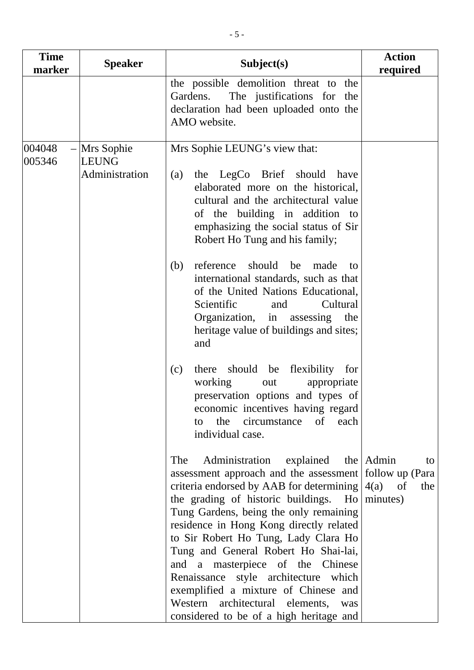| <b>Time</b><br>marker | <b>Speaker</b>                                   | Subject(s)                                                                                                                                                                                                                                                                                                                                                                                                                                                                                                                                                                                | <b>Action</b><br>required |
|-----------------------|--------------------------------------------------|-------------------------------------------------------------------------------------------------------------------------------------------------------------------------------------------------------------------------------------------------------------------------------------------------------------------------------------------------------------------------------------------------------------------------------------------------------------------------------------------------------------------------------------------------------------------------------------------|---------------------------|
|                       |                                                  | the possible demolition threat to the<br>The justifications for the<br>Gardens.<br>declaration had been uploaded onto the<br>AMO website.                                                                                                                                                                                                                                                                                                                                                                                                                                                 |                           |
| 004048<br>005346      | $-$ Mrs Sophie<br><b>LEUNG</b><br>Administration | Mrs Sophie LEUNG's view that:<br>the LegCo Brief should have<br>(a)<br>elaborated more on the historical,<br>cultural and the architectural value<br>of the building in addition to<br>emphasizing the social status of Sir<br>Robert Ho Tung and his family;                                                                                                                                                                                                                                                                                                                             |                           |
|                       |                                                  | should<br>(b)<br>reference<br>be<br>made<br>to<br>international standards, such as that<br>of the United Nations Educational,<br>Scientific<br>Cultural<br>and<br>Organization, in assessing<br>the<br>heritage value of buildings and sites;<br>and                                                                                                                                                                                                                                                                                                                                      |                           |
|                       |                                                  | should be flexibility for<br>(c)<br>there<br>working<br>appropriate<br>out<br>preservation options and types of<br>economic incentives having regard<br>the circumstance<br>of<br>each<br>to<br>individual case.                                                                                                                                                                                                                                                                                                                                                                          |                           |
|                       |                                                  | explained<br>The<br>Administration<br>assessment approach and the assessment   follow up (Para  <br>criteria endorsed by AAB for determining $ 4(a)$ of<br>the grading of historic buildings. Ho   minutes)<br>Tung Gardens, being the only remaining<br>residence in Hong Kong directly related<br>to Sir Robert Ho Tung, Lady Clara Ho<br>Tung and General Robert Ho Shai-lai,<br>and a masterpiece of the Chinese<br>Renaissance style architecture which<br>exemplified a mixture of Chinese and<br>Western architectural elements,<br>was<br>considered to be of a high heritage and | the Admin<br>to<br>the    |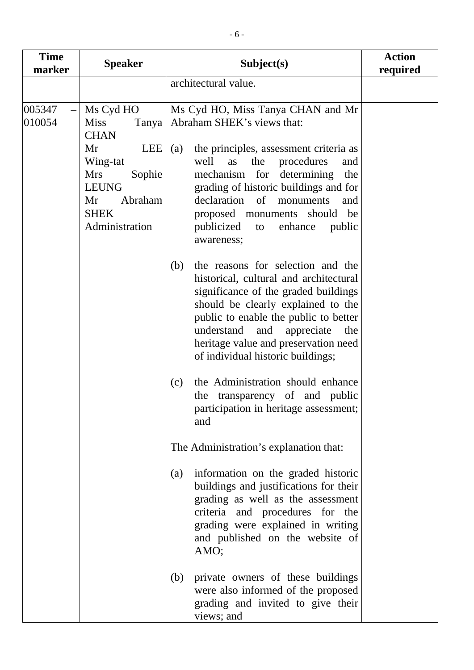| <b>Time</b><br>marker        | <b>Speaker</b>                                                                                                                                                             | Subject(s)                                                                                                                                                                                                                                                                                                                                                                                                                                                  | <b>Action</b><br>required |
|------------------------------|----------------------------------------------------------------------------------------------------------------------------------------------------------------------------|-------------------------------------------------------------------------------------------------------------------------------------------------------------------------------------------------------------------------------------------------------------------------------------------------------------------------------------------------------------------------------------------------------------------------------------------------------------|---------------------------|
|                              |                                                                                                                                                                            | architectural value.                                                                                                                                                                                                                                                                                                                                                                                                                                        |                           |
| 005347<br>$\equiv$<br>010054 | Ms Cyd HO<br><b>Miss</b><br>Tanya<br><b>CHAN</b><br>Mr<br><b>LEE</b><br>Wing-tat<br><b>Mrs</b><br>Sophie<br><b>LEUNG</b><br>Mr<br>Abraham<br><b>SHEK</b><br>Administration | Ms Cyd HO, Miss Tanya CHAN and Mr<br>Abraham SHEK's views that:<br>the principles, assessment criteria as<br>(a)<br>well<br>as<br>procedures<br>the<br>and<br>mechanism for determining<br>the<br>grading of historic buildings and for<br>declaration of<br>monuments<br>and<br>proposed monuments<br>should<br>be<br>publicized<br>enhance<br>public<br>to<br>awareness;                                                                                  |                           |
|                              |                                                                                                                                                                            | the reasons for selection and the<br>(b)<br>historical, cultural and architectural<br>significance of the graded buildings<br>should be clearly explained to the<br>public to enable the public to better<br>understand<br>and appreciate<br>the<br>heritage value and preservation need<br>of individual historic buildings;<br>the Administration should enhance<br>(c)<br>the transparency of and public<br>participation in heritage assessment;<br>and |                           |
|                              |                                                                                                                                                                            | The Administration's explanation that:                                                                                                                                                                                                                                                                                                                                                                                                                      |                           |
|                              |                                                                                                                                                                            | information on the graded historic<br>(a)<br>buildings and justifications for their<br>grading as well as the assessment<br>criteria and procedures for the<br>grading were explained in writing<br>and published on the website of<br>AMO;                                                                                                                                                                                                                 |                           |
|                              |                                                                                                                                                                            | private owners of these buildings<br>(b)<br>were also informed of the proposed<br>grading and invited to give their<br>views; and                                                                                                                                                                                                                                                                                                                           |                           |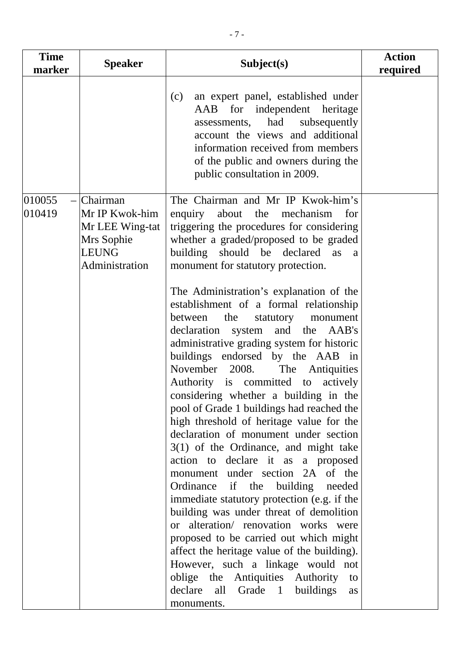| <b>Time</b><br>marker | <b>Speaker</b>                                                                                    | Subject(s)                                                                                                                                                                                                                                                                                                                                                                                                                                                                                                                                                                                                                                                                                                                                                                                                                                                                                                                                                                                                                                                                                                                                                                              | <b>Action</b><br>required |
|-----------------------|---------------------------------------------------------------------------------------------------|-----------------------------------------------------------------------------------------------------------------------------------------------------------------------------------------------------------------------------------------------------------------------------------------------------------------------------------------------------------------------------------------------------------------------------------------------------------------------------------------------------------------------------------------------------------------------------------------------------------------------------------------------------------------------------------------------------------------------------------------------------------------------------------------------------------------------------------------------------------------------------------------------------------------------------------------------------------------------------------------------------------------------------------------------------------------------------------------------------------------------------------------------------------------------------------------|---------------------------|
|                       |                                                                                                   | an expert panel, established under<br>(c)<br>AAB for independent heritage<br>assessments, had<br>subsequently<br>account the views and additional<br>information received from members<br>of the public and owners during the<br>public consultation in 2009.                                                                                                                                                                                                                                                                                                                                                                                                                                                                                                                                                                                                                                                                                                                                                                                                                                                                                                                           |                           |
| 010055<br>010419      | $-$ Chairman<br>Mr IP Kwok-him<br>Mr LEE Wing-tat<br>Mrs Sophie<br><b>LEUNG</b><br>Administration | The Chairman and Mr IP Kwok-him's<br>enquiry about the<br>mechanism<br>for<br>triggering the procedures for considering<br>whether a graded/proposed to be graded<br>building should be declared<br>as<br>a<br>monument for statutory protection.<br>The Administration's explanation of the<br>establishment of a formal relationship<br>between<br>the<br>statutory<br>monument<br>declaration system and the AAB's<br>administrative grading system for historic<br>buildings endorsed by the AAB in<br>November 2008. The Antiquities<br>Authority is committed to actively<br>considering whether a building in the<br>pool of Grade 1 buildings had reached the<br>high threshold of heritage value for the<br>declaration of monument under section<br>3(1) of the Ordinance, and might take<br>action to declare it as a proposed<br>monument under section 2A of the<br>Ordinance if the<br>building<br>needed<br>immediate statutory protection (e.g. if the<br>building was under threat of demolition<br>or alteration/ renovation works were<br>proposed to be carried out which might<br>affect the heritage value of the building).<br>However, such a linkage would not |                           |
|                       |                                                                                                   | oblige the Antiquities Authority<br>to<br>declare<br>Grade 1<br>all<br>buildings<br>as<br>monuments.                                                                                                                                                                                                                                                                                                                                                                                                                                                                                                                                                                                                                                                                                                                                                                                                                                                                                                                                                                                                                                                                                    |                           |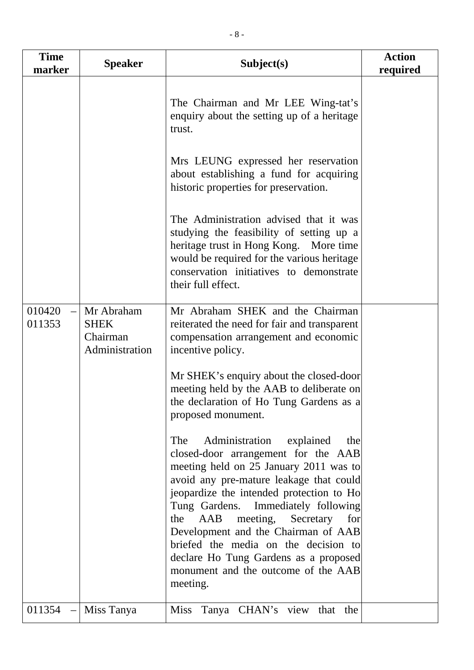| <b>Time</b><br>marker              | <b>Speaker</b>                                          | Subject(s)                                                                                                                                                                                                                                                                                                                                                                                                                                                               | <b>Action</b><br>required |
|------------------------------------|---------------------------------------------------------|--------------------------------------------------------------------------------------------------------------------------------------------------------------------------------------------------------------------------------------------------------------------------------------------------------------------------------------------------------------------------------------------------------------------------------------------------------------------------|---------------------------|
|                                    |                                                         | The Chairman and Mr LEE Wing-tat's<br>enquiry about the setting up of a heritage<br>trust.<br>Mrs LEUNG expressed her reservation                                                                                                                                                                                                                                                                                                                                        |                           |
|                                    |                                                         | about establishing a fund for acquiring<br>historic properties for preservation.                                                                                                                                                                                                                                                                                                                                                                                         |                           |
|                                    |                                                         | The Administration advised that it was<br>studying the feasibility of setting up a<br>heritage trust in Hong Kong. More time<br>would be required for the various heritage<br>conservation initiatives to demonstrate<br>their full effect.                                                                                                                                                                                                                              |                           |
| 010420<br>011353                   | Mr Abraham<br><b>SHEK</b><br>Chairman<br>Administration | Mr Abraham SHEK and the Chairman<br>reiterated the need for fair and transparent<br>compensation arrangement and economic<br>incentive policy.                                                                                                                                                                                                                                                                                                                           |                           |
|                                    |                                                         | Mr SHEK's enquiry about the closed-door<br>meeting held by the AAB to deliberate on<br>the declaration of Ho Tung Gardens as a<br>proposed monument.                                                                                                                                                                                                                                                                                                                     |                           |
|                                    |                                                         | The<br>Administration explained<br>the<br>closed-door arrangement for the AAB<br>meeting held on 25 January 2011 was to<br>avoid any pre-mature leakage that could<br>jeopardize the intended protection to Ho<br>Tung Gardens. Immediately following<br>meeting, Secretary for<br>the<br>AAB<br>Development and the Chairman of AAB<br>briefed the media on the decision to<br>declare Ho Tung Gardens as a proposed<br>monument and the outcome of the AAB<br>meeting. |                           |
| 011354<br>$\overline{\phantom{0}}$ | Miss Tanya                                              | Tanya CHAN's view that the<br><b>Miss</b>                                                                                                                                                                                                                                                                                                                                                                                                                                |                           |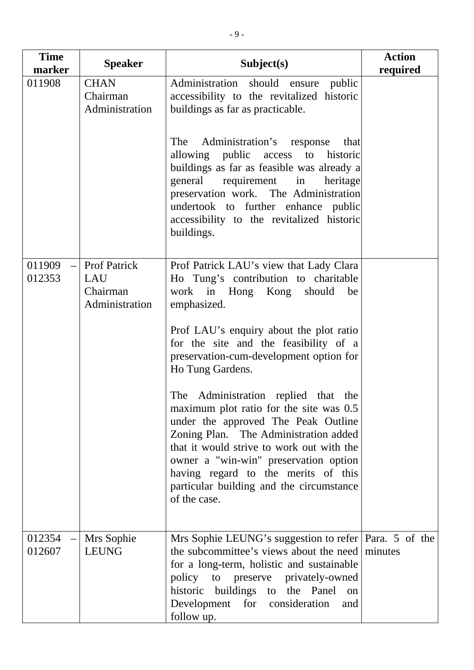| <b>Time</b><br>marker | <b>Speaker</b>                                           | Subject(s)                                                                                                                                                                                                                                                                                                                                              | <b>Action</b><br>required |
|-----------------------|----------------------------------------------------------|---------------------------------------------------------------------------------------------------------------------------------------------------------------------------------------------------------------------------------------------------------------------------------------------------------------------------------------------------------|---------------------------|
| 011908                | <b>CHAN</b><br>Chairman<br>Administration                | Administration<br>should ensure public<br>accessibility to the revitalized historic<br>buildings as far as practicable.                                                                                                                                                                                                                                 |                           |
|                       |                                                          | Administration's response<br>The<br>that<br>allowing public access<br>historic<br>to<br>buildings as far as feasible was already a<br>general requirement in<br>heritage<br>preservation work. The Administration<br>undertook to further enhance public<br>accessibility to the revitalized historic<br>buildings.                                     |                           |
| 011909<br>012353      | <b>Prof Patrick</b><br>LAU<br>Chairman<br>Administration | Prof Patrick LAU's view that Lady Clara<br>Ho Tung's contribution to charitable<br>work in Hong Kong should<br>be<br>emphasized.                                                                                                                                                                                                                        |                           |
|                       |                                                          | Prof LAU's enquiry about the plot ratio<br>for the site and the feasibility of a<br>preservation-cum-development option for<br>Ho Tung Gardens.                                                                                                                                                                                                         |                           |
|                       |                                                          | The Administration replied that the<br>maximum plot ratio for the site was 0.5<br>under the approved The Peak Outline<br>Zoning Plan. The Administration added<br>that it would strive to work out with the<br>owner a "win-win" preservation option<br>having regard to the merits of this<br>particular building and the circumstance<br>of the case. |                           |
| 012354<br>012607      | Mrs Sophie<br><b>LEUNG</b>                               | Mrs Sophie LEUNG's suggestion to refer   Para. 5 of the<br>the subcommittee's views about the need<br>for a long-term, holistic and sustainable<br>policy to preserve privately-owned<br>historic buildings to the Panel<br>on<br>for consideration<br>Development<br>and<br>follow up.                                                                 | minutes                   |